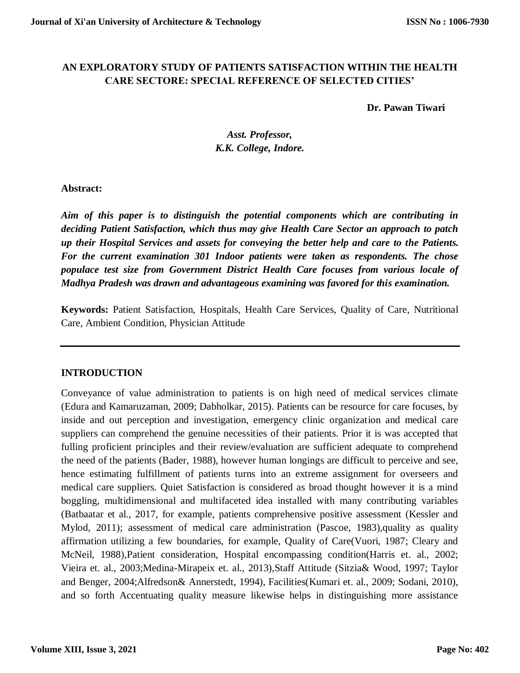## **AN EXPLORATORY STUDY OF PATIENTS SATISFACTION WITHIN THE HEALTH CARE SECTORE: SPECIAL REFERENCE OF SELECTED CITIES'**

#### **Dr. Pawan Tiwari**

# *Asst. Professor, K.K. College, Indore.*

### **Abstract:**

*Aim of this paper is to distinguish the potential components which are contributing in deciding Patient Satisfaction, which thus may give Health Care Sector an approach to patch up their Hospital Services and assets for conveying the better help and care to the Patients. For the current examination 301 Indoor patients were taken as respondents. The chose populace test size from Government District Health Care focuses from various locale of Madhya Pradesh was drawn and advantageous examining was favored for this examination.* 

**Keywords:** Patient Satisfaction, Hospitals, Health Care Services, Quality of Care, Nutritional Care, Ambient Condition, Physician Attitude

### **INTRODUCTION**

Conveyance of value administration to patients is on high need of medical services climate (Edura and Kamaruzaman, 2009; Dabholkar, 2015). Patients can be resource for care focuses, by inside and out perception and investigation, emergency clinic organization and medical care suppliers can comprehend the genuine necessities of their patients. Prior it is was accepted that fulling proficient principles and their review/evaluation are sufficient adequate to comprehend the need of the patients (Bader, 1988), however human longings are difficult to perceive and see, hence estimating fulfillment of patients turns into an extreme assignment for overseers and medical care suppliers. Quiet Satisfaction is considered as broad thought however it is a mind boggling, multidimensional and multifaceted idea installed with many contributing variables (Batbaatar et al., 2017, for example, patients comprehensive positive assessment (Kessler and Mylod, 2011); assessment of medical care administration (Pascoe, 1983),quality as quality affirmation utilizing a few boundaries, for example, Quality of Care(Vuori, 1987; Cleary and McNeil, 1988),Patient consideration, Hospital encompassing condition(Harris et. al., 2002; Vieira et. al., 2003;Medina-Mirapeix et. al., 2013),Staff Attitude (Sitzia& Wood, 1997; Taylor and Benger, 2004;Alfredson& Annerstedt, 1994), Facilities(Kumari et. al., 2009; Sodani, 2010), and so forth Accentuating quality measure likewise helps in distinguishing more assistance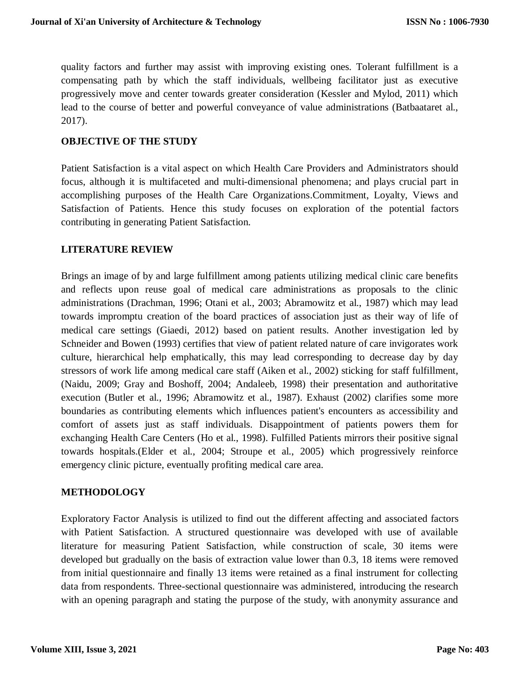quality factors and further may assist with improving existing ones. Tolerant fulfillment is a compensating path by which the staff individuals, wellbeing facilitator just as executive progressively move and center towards greater consideration (Kessler and Mylod, 2011) which lead to the course of better and powerful conveyance of value administrations (Batbaataret al., 2017).

### **OBJECTIVE OF THE STUDY**

Patient Satisfaction is a vital aspect on which Health Care Providers and Administrators should focus, although it is multifaceted and multi-dimensional phenomena; and plays crucial part in accomplishing purposes of the Health Care Organizations.Commitment, Loyalty, Views and Satisfaction of Patients. Hence this study focuses on exploration of the potential factors contributing in generating Patient Satisfaction.

### **LITERATURE REVIEW**

Brings an image of by and large fulfillment among patients utilizing medical clinic care benefits and reflects upon reuse goal of medical care administrations as proposals to the clinic administrations (Drachman, 1996; Otani et al., 2003; Abramowitz et al., 1987) which may lead towards impromptu creation of the board practices of association just as their way of life of medical care settings (Giaedi, 2012) based on patient results. Another investigation led by Schneider and Bowen (1993) certifies that view of patient related nature of care invigorates work culture, hierarchical help emphatically, this may lead corresponding to decrease day by day stressors of work life among medical care staff (Aiken et al., 2002) sticking for staff fulfillment, (Naidu, 2009; Gray and Boshoff, 2004; Andaleeb, 1998) their presentation and authoritative execution (Butler et al., 1996; Abramowitz et al., 1987). Exhaust (2002) clarifies some more boundaries as contributing elements which influences patient's encounters as accessibility and comfort of assets just as staff individuals. Disappointment of patients powers them for exchanging Health Care Centers (Ho et al., 1998). Fulfilled Patients mirrors their positive signal towards hospitals.(Elder et al., 2004; Stroupe et al., 2005) which progressively reinforce emergency clinic picture, eventually profiting medical care area.

### **METHODOLOGY**

Exploratory Factor Analysis is utilized to find out the different affecting and associated factors with Patient Satisfaction. A structured questionnaire was developed with use of available literature for measuring Patient Satisfaction, while construction of scale, 30 items were developed but gradually on the basis of extraction value lower than 0.3, 18 items were removed from initial questionnaire and finally 13 items were retained as a final instrument for collecting data from respondents. Three-sectional questionnaire was administered, introducing the research with an opening paragraph and stating the purpose of the study, with anonymity assurance and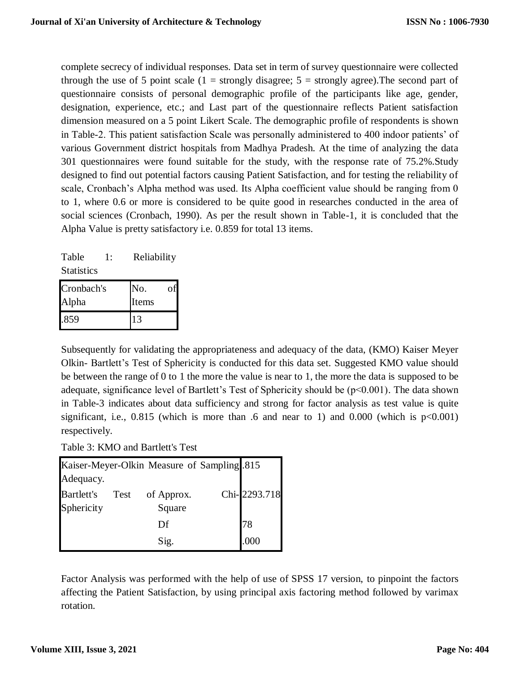complete secrecy of individual responses. Data set in term of survey questionnaire were collected through the use of 5 point scale  $(1 =$  strongly disagree;  $5 =$  strongly agree). The second part of questionnaire consists of personal demographic profile of the participants like age, gender, designation, experience, etc.; and Last part of the questionnaire reflects Patient satisfaction dimension measured on a 5 point Likert Scale. The demographic profile of respondents is shown in Table-2. This patient satisfaction Scale was personally administered to 400 indoor patients' of various Government district hospitals from Madhya Pradesh. At the time of analyzing the data 301 questionnaires were found suitable for the study, with the response rate of 75.2%.Study designed to find out potential factors causing Patient Satisfaction, and for testing the reliability of scale, Cronbach's Alpha method was used. Its Alpha coefficient value should be ranging from 0 to 1, where 0.6 or more is considered to be quite good in researches conducted in the area of social sciences (Cronbach, 1990). As per the result shown in Table-1, it is concluded that the Alpha Value is pretty satisfactory i.e. 0.859 for total 13 items.

| Table             | 1: | Reliability |
|-------------------|----|-------------|
| <b>Statistics</b> |    |             |

| Cronbach's | No.   |  |
|------------|-------|--|
| Alpha      | Items |  |
| .859       |       |  |

Subsequently for validating the appropriateness and adequacy of the data, (KMO) Kaiser Meyer Olkin- Bartlett's Test of Sphericity is conducted for this data set. Suggested KMO value should be between the range of 0 to 1 the more the value is near to 1, the more the data is supposed to be adequate, significance level of Bartlett's Test of Sphericity should be (p<0.001). The data shown in Table-3 indicates about data sufficiency and strong for factor analysis as test value is quite significant, i.e.,  $0.815$  (which is more than .6 and near to 1) and  $0.000$  (which is  $p<0.001$ ) respectively.

Table 3: KMO and Bartlett's Test

| Kaiser-Meyer-Olkin Measure of Sampling 815 |      |            |  |              |  |
|--------------------------------------------|------|------------|--|--------------|--|
| Adequacy.                                  |      |            |  |              |  |
| <b>Bartlett's</b>                          | Test | of Approx. |  | Chi-2293.718 |  |
| Sphericity                                 |      | Square     |  |              |  |
|                                            |      | Df         |  | 78           |  |
|                                            |      | Sig.       |  | .000         |  |

Factor Analysis was performed with the help of use of SPSS 17 version, to pinpoint the factors affecting the Patient Satisfaction, by using principal axis factoring method followed by varimax rotation.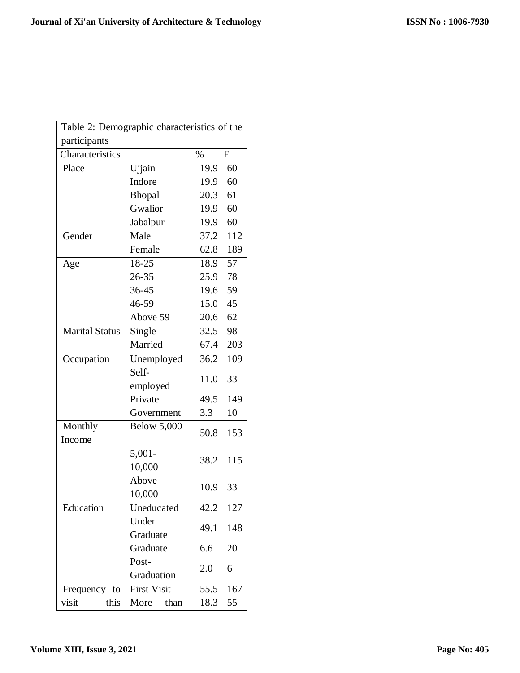| Table 2: Demographic characteristics of the |                    |      |             |  |
|---------------------------------------------|--------------------|------|-------------|--|
| participants                                |                    |      |             |  |
| Characteristics                             |                    | $\%$ | $\mathbf F$ |  |
| Place                                       | Ujjain             | 19.9 | 60          |  |
|                                             | Indore             | 19.9 | 60          |  |
|                                             | Bhopal             | 20.3 | 61          |  |
|                                             | Gwalior            | 19.9 | 60          |  |
|                                             | Jabalpur           | 19.9 | 60          |  |
| Gender                                      | Male               | 37.2 | 112         |  |
|                                             | Female             | 62.8 | 189         |  |
| Age                                         | 18-25              | 18.9 | 57          |  |
|                                             | 26-35              | 25.9 | 78          |  |
|                                             | 36-45              | 19.6 | 59          |  |
|                                             | 46-59              | 15.0 | 45          |  |
|                                             | Above 59           | 20.6 | 62          |  |
| <b>Marital Status</b>                       | Single             | 32.5 | 98          |  |
|                                             | Married            | 67.4 | 203         |  |
| Occupation                                  | Unemployed         | 36.2 | 109         |  |
|                                             | Self-              |      |             |  |
|                                             | employed           | 11.0 | 33          |  |
|                                             | Private            | 49.5 | 149         |  |
|                                             | Government         | 3.3  | 10          |  |
| Monthly                                     | <b>Below 5,000</b> |      |             |  |
| Income                                      |                    | 50.8 | 153         |  |
|                                             | $5,001-$           |      | 115<br>33   |  |
|                                             | 10,000             | 38.2 |             |  |
|                                             | Above              | 10.9 |             |  |
|                                             | 10,000             |      |             |  |
| Education                                   | Uneducated         | 42.2 | 127         |  |
|                                             | Under              | 49.1 | 148         |  |
|                                             | Graduate           |      |             |  |
|                                             | Graduate           | 6.6  | 20          |  |
|                                             | Post-              | 2.0  | 6           |  |
|                                             | Graduation         |      |             |  |
| Frequency to                                | <b>First Visit</b> | 55.5 | 167         |  |
| visit<br>this                               | More<br>than       | 18.3 | 55          |  |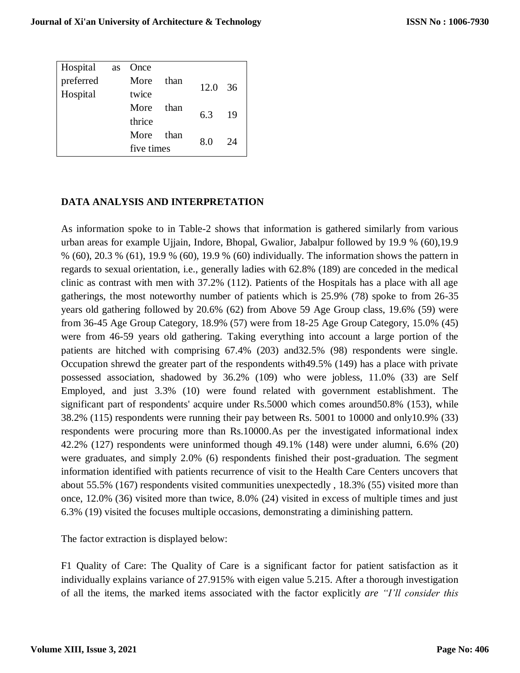| Hospital  | as | Once       |      |                 |    |
|-----------|----|------------|------|-----------------|----|
| preferred |    | More       | than | $12.0 \quad 36$ |    |
| Hospital  |    | twice      |      |                 |    |
|           |    | More       | than | 6.3             | 19 |
|           |    | thrice     |      |                 |    |
|           |    | More       | than | 8.0             | 24 |
|           |    | five times |      |                 |    |
|           |    |            |      |                 |    |

# **DATA ANALYSIS AND INTERPRETATION**

As information spoke to in Table-2 shows that information is gathered similarly from various urban areas for example Ujjain, Indore, Bhopal, Gwalior, Jabalpur followed by 19.9 % (60),19.9 % (60), 20.3 % (61), 19.9 % (60), 19.9 % (60) individually. The information shows the pattern in regards to sexual orientation, i.e., generally ladies with 62.8% (189) are conceded in the medical clinic as contrast with men with 37.2% (112). Patients of the Hospitals has a place with all age gatherings, the most noteworthy number of patients which is 25.9% (78) spoke to from 26-35 years old gathering followed by 20.6% (62) from Above 59 Age Group class, 19.6% (59) were from 36-45 Age Group Category, 18.9% (57) were from 18-25 Age Group Category, 15.0% (45) were from 46-59 years old gathering. Taking everything into account a large portion of the patients are hitched with comprising 67.4% (203) and32.5% (98) respondents were single. Occupation shrewd the greater part of the respondents with49.5% (149) has a place with private possessed association, shadowed by 36.2% (109) who were jobless, 11.0% (33) are Self Employed, and just 3.3% (10) were found related with government establishment. The significant part of respondents' acquire under Rs.5000 which comes around50.8% (153), while 38.2% (115) respondents were running their pay between Rs. 5001 to 10000 and only10.9% (33) respondents were procuring more than Rs.10000.As per the investigated informational index 42.2% (127) respondents were uninformed though 49.1% (148) were under alumni, 6.6% (20) were graduates, and simply 2.0% (6) respondents finished their post-graduation. The segment information identified with patients recurrence of visit to the Health Care Centers uncovers that about 55.5% (167) respondents visited communities unexpectedly , 18.3% (55) visited more than once, 12.0% (36) visited more than twice, 8.0% (24) visited in excess of multiple times and just 6.3% (19) visited the focuses multiple occasions, demonstrating a diminishing pattern.

The factor extraction is displayed below:

F1 Quality of Care: The Quality of Care is a significant factor for patient satisfaction as it individually explains variance of 27.915% with eigen value 5.215. After a thorough investigation of all the items, the marked items associated with the factor explicitly *are "I'll consider this*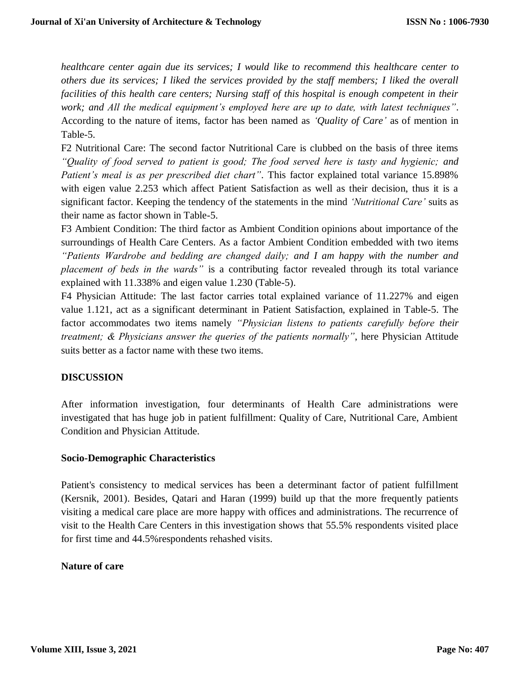*healthcare center again due its services; I would like to recommend this healthcare center to others due its services; I liked the services provided by the staff members; I liked the overall facilities of this health care centers; Nursing staff of this hospital is enough competent in their work; and All the medical equipment's employed here are up to date, with latest techniques"*. According to the nature of items, factor has been named as *'Quality of Care'* as of mention in Table-5.

F2 Nutritional Care: The second factor Nutritional Care is clubbed on the basis of three items *"Quality of food served to patient is good; The food served here is tasty and hygienic; and Patient's meal is as per prescribed diet chart"*. This factor explained total variance 15.898% with eigen value 2.253 which affect Patient Satisfaction as well as their decision, thus it is a significant factor. Keeping the tendency of the statements in the mind *'Nutritional Care'* suits as their name as factor shown in Table-5.

F3 Ambient Condition: The third factor as Ambient Condition opinions about importance of the surroundings of Health Care Centers. As a factor Ambient Condition embedded with two items *"Patients Wardrobe and bedding are changed daily; and I am happy with the number and placement of beds in the wards"* is a contributing factor revealed through its total variance explained with 11.338% and eigen value 1.230 (Table-5).

F4 Physician Attitude: The last factor carries total explained variance of 11.227% and eigen value 1.121, act as a significant determinant in Patient Satisfaction, explained in Table-5. The factor accommodates two items namely *"Physician listens to patients carefully before their treatment; & Physicians answer the queries of the patients normally"*, here Physician Attitude suits better as a factor name with these two items.

### **DISCUSSION**

After information investigation, four determinants of Health Care administrations were investigated that has huge job in patient fulfillment: Quality of Care, Nutritional Care, Ambient Condition and Physician Attitude.

### **Socio-Demographic Characteristics**

Patient's consistency to medical services has been a determinant factor of patient fulfillment (Kersnik, 2001). Besides, Qatari and Haran (1999) build up that the more frequently patients visiting a medical care place are more happy with offices and administrations. The recurrence of visit to the Health Care Centers in this investigation shows that 55.5% respondents visited place for first time and 44.5%respondents rehashed visits.

### **Nature of care**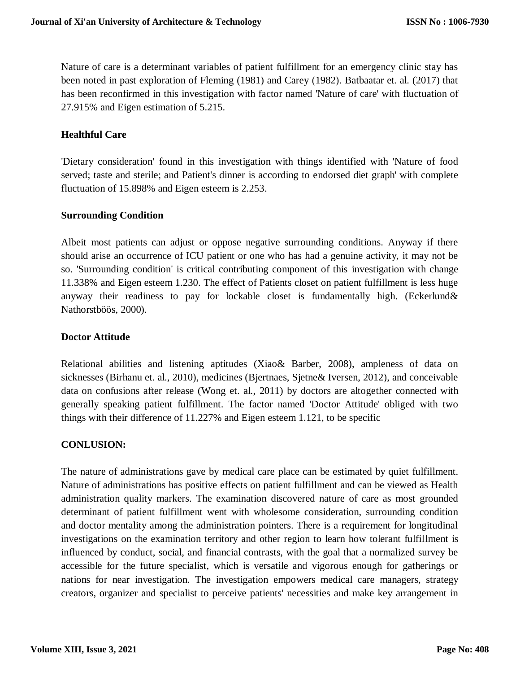Nature of care is a determinant variables of patient fulfillment for an emergency clinic stay has been noted in past exploration of Fleming (1981) and Carey (1982). Batbaatar et. al. (2017) that has been reconfirmed in this investigation with factor named 'Nature of care' with fluctuation of 27.915% and Eigen estimation of 5.215.

### **Healthful Care**

'Dietary consideration' found in this investigation with things identified with 'Nature of food served; taste and sterile; and Patient's dinner is according to endorsed diet graph' with complete fluctuation of 15.898% and Eigen esteem is 2.253.

### **Surrounding Condition**

Albeit most patients can adjust or oppose negative surrounding conditions. Anyway if there should arise an occurrence of ICU patient or one who has had a genuine activity, it may not be so. 'Surrounding condition' is critical contributing component of this investigation with change 11.338% and Eigen esteem 1.230. The effect of Patients closet on patient fulfillment is less huge anyway their readiness to pay for lockable closet is fundamentally high. (Eckerlund& Nathorstböös, 2000).

### **Doctor Attitude**

Relational abilities and listening aptitudes (Xiao& Barber, 2008), ampleness of data on sicknesses (Birhanu et. al., 2010), medicines (Bjertnaes, Sjetne& Iversen, 2012), and conceivable data on confusions after release (Wong et. al., 2011) by doctors are altogether connected with generally speaking patient fulfillment. The factor named 'Doctor Attitude' obliged with two things with their difference of 11.227% and Eigen esteem 1.121, to be specific

### **CONLUSION:**

The nature of administrations gave by medical care place can be estimated by quiet fulfillment. Nature of administrations has positive effects on patient fulfillment and can be viewed as Health administration quality markers. The examination discovered nature of care as most grounded determinant of patient fulfillment went with wholesome consideration, surrounding condition and doctor mentality among the administration pointers. There is a requirement for longitudinal investigations on the examination territory and other region to learn how tolerant fulfillment is influenced by conduct, social, and financial contrasts, with the goal that a normalized survey be accessible for the future specialist, which is versatile and vigorous enough for gatherings or nations for near investigation. The investigation empowers medical care managers, strategy creators, organizer and specialist to perceive patients' necessities and make key arrangement in